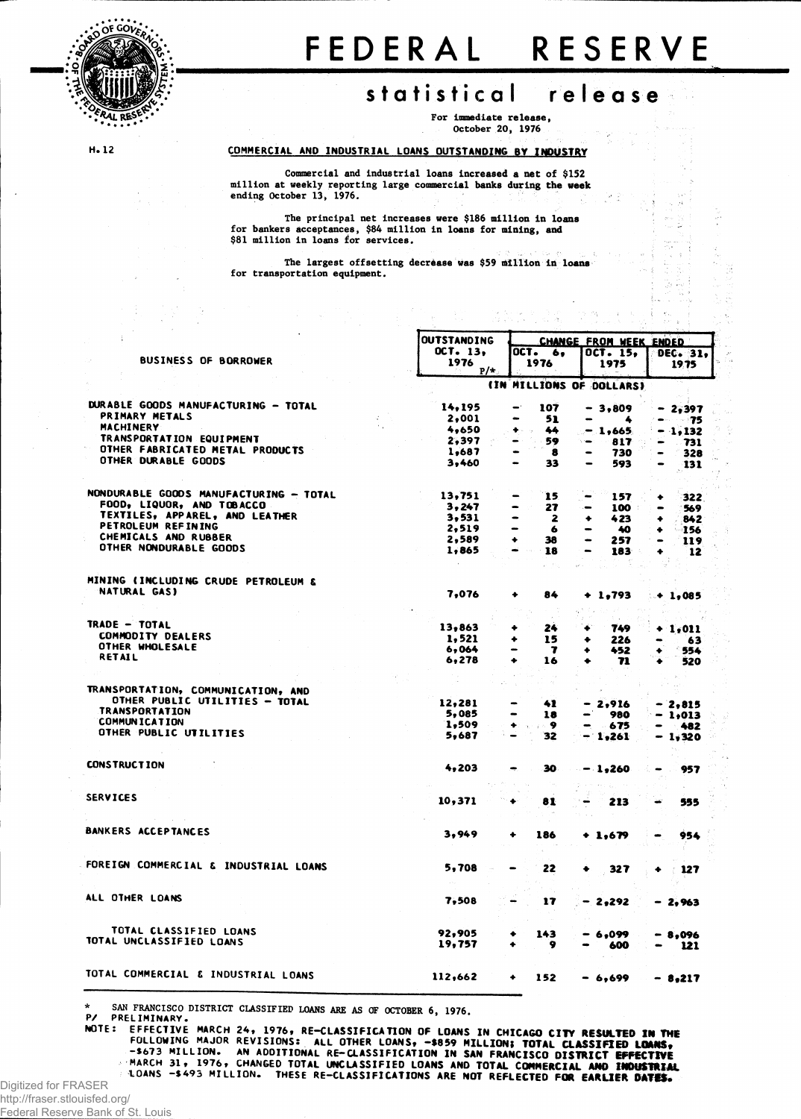

## FEDERA L RESERV E

## **statistica l re I e a s e**

i,

For immediate release , October 20, 1976

n an Christian College (1986)<br>The College College (1986)

H.12

COMMERCIAL AND INDUSTRIAL LOANS OUTSTANDING BY INDUSTRY

Commercial and industrial loans increased a net of \$152 million at weekly reporting large commercial banks during the week ending October 13, 1976.

The principal net increases were \$186 million in loans for bankers acceptances, \$84 million in loans for mining, and<br>\$81 million in loans for services.

The largest offsetting decrease was \$59 million in loans for transportation equipment.

|                                        | <b>OUTSTANDING</b> | <b>CHANGE FROM WEEK ENDED</b> |                         |                                     |  |  |  |
|----------------------------------------|--------------------|-------------------------------|-------------------------|-------------------------------------|--|--|--|
|                                        | OCT. 13,           | OCT.                          |                         |                                     |  |  |  |
| <b>BUSINESS OF BORROWER</b>            | 1976               | 6.<br>1976                    | OCT. 15.                | DEC. 31.                            |  |  |  |
|                                        | $P/*$              |                               | 1975                    | 1975                                |  |  |  |
|                                        |                    | (IN MILLIONS OF DOLLARS)      |                         |                                     |  |  |  |
| DURABLE GOODS MANUFACTURING - TOTAL    | 14,195             | 107                           | $-3,809$                | - 2,397                             |  |  |  |
| PRIMARY METALS                         | 2,001              | 51                            | 4<br>-                  | <b>CONTRACTOR</b>                   |  |  |  |
| <b>MACHINERY</b>                       | 4,650              | 44                            |                         | - 75                                |  |  |  |
| TRANSPORTATION EQUIPMENT               |                    | ٠<br>19                       | $-1,665$                | $-1,132$                            |  |  |  |
| OTHER FABRICATED METAL PRODUCTS        | 2.397              | 59                            | 817<br>÷.               | 731                                 |  |  |  |
|                                        | 1,687              | 8                             | 730                     | 328<br>$\bullet$                    |  |  |  |
| OTHER DURABLE GOODS                    | 3.460              | 33                            | 593                     | 131                                 |  |  |  |
| NONDURABLE GOODS MANUFACTURING - TOTAL | 13,751             | 15                            |                         |                                     |  |  |  |
| FOOD, LIQUOR, AND TOBACCO              |                    |                               | 157                     | 322                                 |  |  |  |
| TEXTILES, APPAREL, AND LEATHER         | 3,247              | 27                            | 100                     | 569<br>$\qquad \qquad \blacksquare$ |  |  |  |
| PETROLEUM REFINING                     | 3,531              | -<br>2                        | 423<br>٠                | 842<br>۰                            |  |  |  |
|                                        | 2,519              | -<br>6                        | 40                      | 156<br>٠                            |  |  |  |
| CHEMICALS AND RUBBER                   | 2,589              | 38<br>۰                       | 257                     | 119                                 |  |  |  |
| OTHER NONDURABLE GOODS                 | 1,865              | 18                            | 183                     | 12<br>۰                             |  |  |  |
| MINING (INCLUDING CRUDE PETROLEUM &    |                    |                               |                         |                                     |  |  |  |
| NATURAL GAS)                           | 7,076              | 84<br>٠                       | $+ 1,793$               | ⊶ 1,085                             |  |  |  |
|                                        |                    |                               |                         |                                     |  |  |  |
| TRADE - TOTAL                          | 13,863             | 24<br>۰                       | 749                     |                                     |  |  |  |
| <b>COMMODITY DEALERS</b>               |                    |                               |                         | <b>1,011</b>                        |  |  |  |
| OTHER WHOLESALE                        | 1,521              | 15<br>٠                       | 226<br>۰                | 63                                  |  |  |  |
| RETAIL                                 | 6,064              | 7<br>-                        | 452<br>۰                | 554                                 |  |  |  |
|                                        | 6,278              | 16<br>۰                       | 71                      | 520                                 |  |  |  |
|                                        |                    |                               |                         |                                     |  |  |  |
| TRANSPORTATION, COMMUNICATION, AND     |                    |                               |                         |                                     |  |  |  |
| OTHER PUBLIC UTILITIES - TOTAL         | 12,281             | 41<br>$\blacksquare$          | $-2,916$                | - 2,815                             |  |  |  |
| <b>TRANSPORTATION</b>                  | 5,085              | 18                            | 980                     | - 1.013                             |  |  |  |
| <b>COMMUNICATION</b>                   | 1,509              | - 9<br>۰                      | 675<br>-                | 482                                 |  |  |  |
| OTHER PUBLIC UTILITIES                 | 5,687              | 32                            | 1,261<br>$\blacksquare$ | - 1,320                             |  |  |  |
| <b>CONSTRUCTION</b>                    |                    |                               |                         |                                     |  |  |  |
|                                        | 4,203              | 30                            | $-1,260$                | 957                                 |  |  |  |
| <b>SERVICES</b>                        | 10,371             | 81                            |                         |                                     |  |  |  |
|                                        |                    |                               | 213                     | 555                                 |  |  |  |
| <b>BANKERS ACCEPTANCES</b>             | 3,949              | ۰<br>186                      | $+ 1,679$               | 954                                 |  |  |  |
|                                        |                    |                               |                         |                                     |  |  |  |
| FOREIGN COMMERCIAL & INDUSTRIAL LOANS  | 5,708              | 22                            | 327                     | 127                                 |  |  |  |
|                                        |                    |                               |                         |                                     |  |  |  |
| ALL OTHER LOANS                        | 7,508              | 17                            | - 2,292                 | - 2.963                             |  |  |  |
| TOTAL CLASSIFIED LOANS                 | 92,905             |                               |                         |                                     |  |  |  |
| TOTAL UNCLASSIFIED LOANS               | 19,757             | 143                           | 6,099                   | - 8,096                             |  |  |  |
|                                        |                    | 9                             | 600                     | 121                                 |  |  |  |
| TOTAL COMMERCIAL & INDUSTRIAL LOANS    | 112,662            | ۰<br>152                      | - 6,699                 | $-8,217$                            |  |  |  |
|                                        |                    |                               |                         |                                     |  |  |  |

**\* <sup>S</sup>AN FRANCISCO DISTRICT CLASSIFIED LOANS ARE AS OF OCTOBER 6 , 1976 .**

P/ PRELIMINARY. MUTE: EFFECTIVE MARCH 24, 1976, RE-CLASSIFICATION OF LOANS IN CHICAGO CITY RESULTED IN THE<br>FOLLOWING MAJOR REVISIONS: ALL OTHER LOANS, -\$859 MILLION; TOTAL CLASSIFIED LOANS,<br>S673 MILLION. AN ADDITIONAL RE-CLASSIFICATION IN

MARCH 3 1 , 1976 , CHANGED TOTAL UNCLASSIFIED LOANS AND TOTAL **COMMERCIAL AMD INDUSTRIAL** LOANS -\$49 3 MILLION. THESE RE-CLASSIFICATIONS ARE NOT REFLECTED **FOR EARLIER 0AT#S\***

Digitized for FRASER

http://fraser.stlouisfed.org/ Federal Reserve Bank of St. Louis